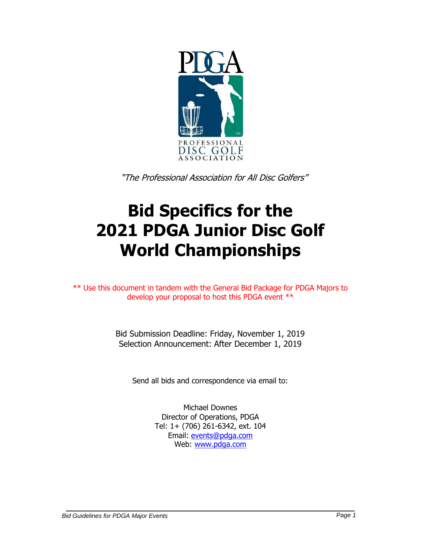

"The Professional Association for All Disc Golfers"

# **Bid Specifics for the 2021 PDGA Junior Disc Golf World Championships**

\*\* Use this document in tandem with the General Bid Package for PDGA Majors to develop your proposal to host this PDGA event \*\*

> Bid Submission Deadline: Friday, November 1, 2019 Selection Announcement: After December 1, 2019

Send all bids and correspondence via email to:

Michael Downes Director of Operations, PDGA Tel: 1+ (706) 261-6342, ext. 104 Email: [events@pdga.com](mailto:events@pdga.com) Web: [www.pdga.com](http://www.pdga.com/)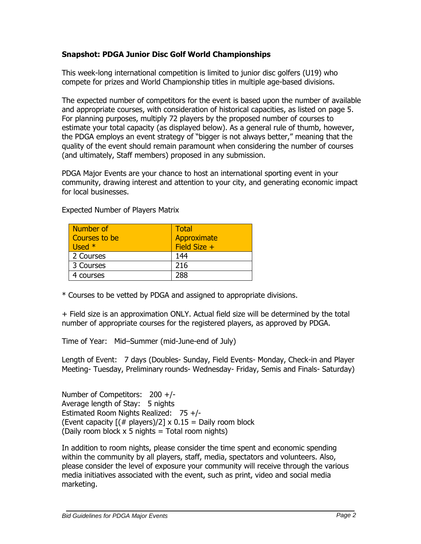# **Snapshot: PDGA Junior Disc Golf World Championships**

This week-long international competition is limited to junior disc golfers (U19) who compete for prizes and World Championship titles in multiple age-based divisions.

The expected number of competitors for the event is based upon the number of available and appropriate courses, with consideration of historical capacities, as listed on page 5. For planning purposes, multiply 72 players by the proposed number of courses to estimate your total capacity (as displayed below). As a general rule of thumb, however, the PDGA employs an event strategy of "bigger is not always better," meaning that the quality of the event should remain paramount when considering the number of courses (and ultimately, Staff members) proposed in any submission.

PDGA Major Events are your chance to host an international sporting event in your community, drawing interest and attention to your city, and generating economic impact for local businesses.

| Number of<br>Courses to be<br>Used $*$ | Total<br>Approximate<br>Field Size + |
|----------------------------------------|--------------------------------------|
| 2 Courses                              | 144                                  |
| 3 Courses                              | 216                                  |
| 4 courses                              | 288                                  |

Expected Number of Players Matrix

\* Courses to be vetted by PDGA and assigned to appropriate divisions.

+ Field size is an approximation ONLY. Actual field size will be determined by the total number of appropriate courses for the registered players, as approved by PDGA.

Time of Year: Mid–Summer (mid-June-end of July)

Length of Event: 7 days (Doubles- Sunday, Field Events- Monday, Check-in and Player Meeting- Tuesday, Preliminary rounds- Wednesday- Friday, Semis and Finals- Saturday)

Number of Competitors: 200 +/- Average length of Stay: 5 nights Estimated Room Nights Realized: 75 +/- (Event capacity  $[(# players)/2] \times 0.15 =$  Daily room block (Daily room block  $x$  5 nights = Total room nights)

In addition to room nights, please consider the time spent and economic spending within the community by all players, staff, media, spectators and volunteers. Also, please consider the level of exposure your community will receive through the various media initiatives associated with the event, such as print, video and social media marketing.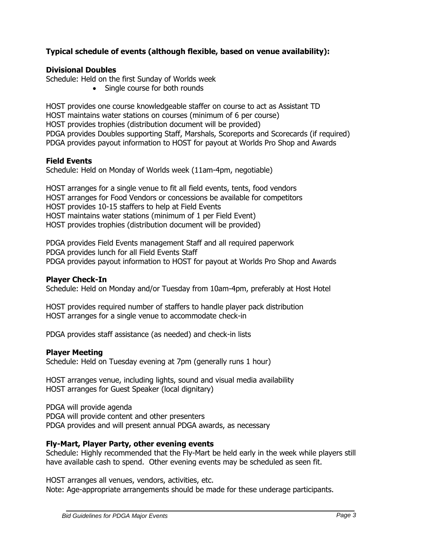# **Typical schedule of events (although flexible, based on venue availability):**

#### **Divisional Doubles**

Schedule: Held on the first Sunday of Worlds week

• Single course for both rounds

HOST provides one course knowledgeable staffer on course to act as Assistant TD HOST maintains water stations on courses (minimum of 6 per course) HOST provides trophies (distribution document will be provided) PDGA provides Doubles supporting Staff, Marshals, Scoreports and Scorecards (if required) PDGA provides payout information to HOST for payout at Worlds Pro Shop and Awards

#### **Field Events**

Schedule: Held on Monday of Worlds week (11am-4pm, negotiable)

HOST arranges for a single venue to fit all field events, tents, food vendors HOST arranges for Food Vendors or concessions be available for competitors HOST provides 10-15 staffers to help at Field Events HOST maintains water stations (minimum of 1 per Field Event) HOST provides trophies (distribution document will be provided)

PDGA provides Field Events management Staff and all required paperwork PDGA provides lunch for all Field Events Staff PDGA provides payout information to HOST for payout at Worlds Pro Shop and Awards

# **Player Check-In**

Schedule: Held on Monday and/or Tuesday from 10am-4pm, preferably at Host Hotel

HOST provides required number of staffers to handle player pack distribution HOST arranges for a single venue to accommodate check-in

PDGA provides staff assistance (as needed) and check-in lists

#### **Player Meeting**

Schedule: Held on Tuesday evening at 7pm (generally runs 1 hour)

HOST arranges venue, including lights, sound and visual media availability HOST arranges for Guest Speaker (local dignitary)

PDGA will provide agenda PDGA will provide content and other presenters PDGA provides and will present annual PDGA awards, as necessary

# **Fly-Mart, Player Party, other evening events**

Schedule: Highly recommended that the Fly-Mart be held early in the week while players still have available cash to spend. Other evening events may be scheduled as seen fit.

HOST arranges all venues, vendors, activities, etc.

Note: Age-appropriate arrangements should be made for these underage participants.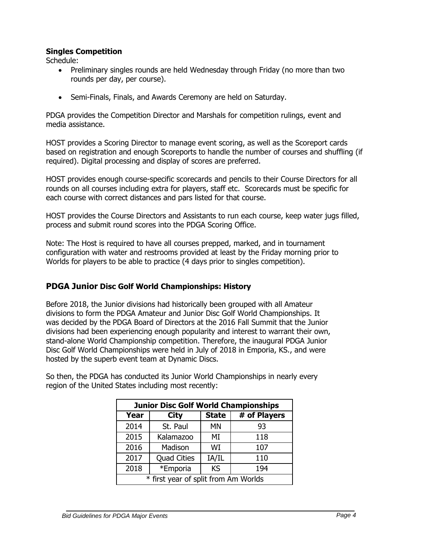#### **Singles Competition**

Schedule:

- Preliminary singles rounds are held Wednesday through Friday (no more than two rounds per day, per course).
- Semi-Finals, Finals, and Awards Ceremony are held on Saturday.

PDGA provides the Competition Director and Marshals for competition rulings, event and media assistance.

HOST provides a Scoring Director to manage event scoring, as well as the Scoreport cards based on registration and enough Scoreports to handle the number of courses and shuffling (if required). Digital processing and display of scores are preferred.

HOST provides enough course-specific scorecards and pencils to their Course Directors for all rounds on all courses including extra for players, staff etc. Scorecards must be specific for each course with correct distances and pars listed for that course.

HOST provides the Course Directors and Assistants to run each course, keep water jugs filled, process and submit round scores into the PDGA Scoring Office.

Note: The Host is required to have all courses prepped, marked, and in tournament configuration with water and restrooms provided at least by the Friday morning prior to Worlds for players to be able to practice (4 days prior to singles competition).

# **PDGA Junior Disc Golf World Championships: History**

Before 2018, the Junior divisions had historically been grouped with all Amateur divisions to form the PDGA Amateur and Junior Disc Golf World Championships. It was decided by the PDGA Board of Directors at the 2016 Fall Summit that the Junior divisions had been experiencing enough popularity and interest to warrant their own, stand-alone World Championship competition. Therefore, the inaugural PDGA Junior Disc Golf World Championships were held in July of 2018 in Emporia, KS., and were hosted by the superb event team at Dynamic Discs.

So then, the PDGA has conducted its Junior World Championships in nearly every region of the United States including most recently:

| <b>Junior Disc Golf World Championships</b> |                    |              |              |  |  |  |  |  |
|---------------------------------------------|--------------------|--------------|--------------|--|--|--|--|--|
| Year                                        | <b>City</b>        | <b>State</b> | # of Players |  |  |  |  |  |
| 2014                                        | St. Paul           | <b>MN</b>    | 93           |  |  |  |  |  |
| 2015                                        | Kalamazoo          | MI           | 118          |  |  |  |  |  |
| 2016                                        | Madison            | WI           | 107          |  |  |  |  |  |
| 2017                                        | <b>Quad Cities</b> | IA/IL        | 110          |  |  |  |  |  |
| 2018                                        | *Emporia           | <b>KS</b>    | 194          |  |  |  |  |  |
| * first year of split from Am Worlds        |                    |              |              |  |  |  |  |  |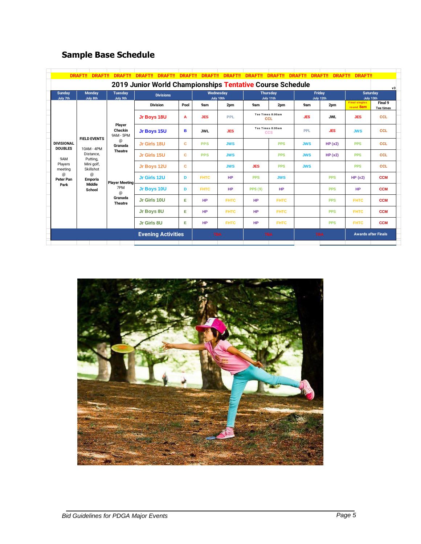# **Sample Base Schedule**

|                                                           | <b>DRAFT!!</b><br><b>DRAFT!!</b>               | <b>DRAFT!!</b>                 | <b>DRAFT!!</b><br><b>DRAFT!!</b> | <b>DRAFT!!</b> | <b>DRAFT!!</b>         | <b>DRAFT!!</b> | <b>DRAFT!!</b>               | <b>DRAFT!!</b>                 | <b>DRAFT!!</b>      | <b>DRAFT!!</b><br><b>DRAFT!!</b> | <b>DRAFT!!</b>                    |                             |
|-----------------------------------------------------------|------------------------------------------------|--------------------------------|----------------------------------|----------------|------------------------|----------------|------------------------------|--------------------------------|---------------------|----------------------------------|-----------------------------------|-----------------------------|
| 2019 Junior World Championships Tentative Course Schedule |                                                |                                |                                  |                |                        |                |                              |                                |                     |                                  | v3                                |                             |
| <b>Sunday</b><br><b>Monday</b><br>July 7th<br>July 8th    |                                                | <b>Tuesday</b><br>July 9th     | <b>Divisions</b>                 |                | Wednesday<br>July 10th |                | <b>Thursday</b><br>July 11th |                                | Friday<br>July 12th |                                  | <b>Saturday</b><br>July 13th      |                             |
|                                                           |                                                |                                | <b>Division</b>                  | Pool           | 9am                    | 2pm            | 9am                          | 2pm                            | 9am                 | 2pm                              | <b>Final singles</b><br>round 8am | Final 9<br><b>Tee times</b> |
|                                                           |                                                |                                | Jr Boys 18U                      | A              | <b>JES</b>             | <b>PPL</b>     |                              | Tee Times 8:00am<br>CCL        | <b>JES</b>          | <b>JWL</b>                       | <b>JES</b>                        | <b>CCL</b>                  |
|                                                           |                                                | Player<br>Checkin<br>9AM - 5PM | Jr Boys 15U                      | в              | <b>JWL</b>             | <b>JES</b>     |                              | Tee Times 8:00am<br><b>CCS</b> | PPL                 | <b>JES</b>                       | <b>JWS</b>                        | <b>CCL</b>                  |
| <b>DIVISIONAL</b><br><b>DOUBLES</b>                       | <b>FIELD EVENTS</b><br>10AM - 4PM              | @<br>Granada                   | Jr Girls 18U                     | c              | <b>PPS</b>             | <b>JWS</b>     |                              | <b>PPS</b>                     | <b>JWS</b>          | HP(x2)                           | <b>PPS</b>                        | <b>CCL</b>                  |
| 9AM                                                       | Distance.<br>Putting,                          | <b>Theatre</b>                 | Jr Girls 15U                     | c              | <b>PPS</b>             | <b>JWS</b>     |                              | <b>PPS</b>                     | <b>JWS</b>          | HP(x2)                           | <b>PPS</b>                        | <b>CCL</b>                  |
| Players<br>meeting                                        | Mini golf,<br>Skillshot                        |                                | Jr Boys 12U                      | c              |                        | <b>JWS</b>     | <b>JES</b>                   | <b>PPS</b>                     | <b>JWS</b>          |                                  | <b>PPS</b>                        | <b>CCL</b>                  |
| @<br><b>Peter Pan</b>                                     | @<br><b>Emporia</b><br><b>Middle</b><br>School | <b>Player Meeting</b>          | Jr Girls 12U                     | D              | <b>FHTC</b>            | HP             | <b>PPS</b>                   | <b>JWS</b>                     |                     | <b>PPS</b>                       | HP(x2)                            | <b>CCM</b>                  |
| Park                                                      |                                                | 7PM<br>$\omega$                | Jr Boys 10U                      | D              | <b>FHTC</b>            | HP             | <b>PPS (9)</b>               | <b>HP</b>                      |                     | <b>PPS</b>                       | <b>HP</b>                         | <b>CCM</b>                  |
|                                                           |                                                | Granada<br><b>Theatre</b>      | Jr Girls 10U                     | Е              | <b>HP</b>              | <b>FHTC</b>    | <b>HP</b>                    | <b>FHTC</b>                    |                     | <b>PPS</b>                       | <b>FHTC</b>                       | <b>CCM</b>                  |
|                                                           |                                                |                                | Jr Boys 8U                       | Е              | <b>HP</b>              | <b>FHTC</b>    | <b>HP</b>                    | <b>FHTC</b>                    |                     | <b>PPS</b>                       | <b>FHTC</b>                       | <b>CCM</b>                  |
|                                                           |                                                |                                | Jr Girls 8U                      | Е              | <b>HP</b>              | <b>FHTC</b>    | <b>HP</b>                    | <b>FHTC</b>                    |                     | <b>PPS</b>                       | <b>FHTC</b>                       | <b>CCM</b>                  |
|                                                           |                                                |                                | <b>Evening Activities</b>        |                | <b>TBA</b>             |                | <b>TBA</b>                   |                                | <b>TBA</b>          |                                  | <b>Awards after Finals</b>        |                             |

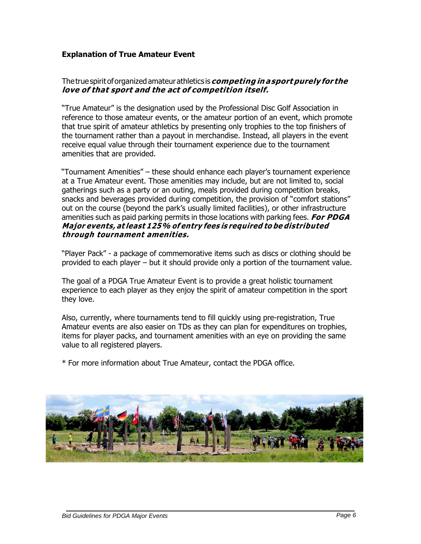# **Explanation of True Amateur Event**

#### Thetruespiritoforganizedamateurathletics is**competing in asport purely for the love of that sport and the act of competition itself.**

"True Amateur" is the designation used by the Professional Disc Golf Association in reference to those amateur events, or the amateur portion of an event, which promote that true spirit of amateur athletics by presenting only trophies to the top finishers of the tournament rather than a payout in merchandise. Instead, all players in the event receive equal value through their tournament experience due to the tournament amenities that are provided.

"Tournament Amenities" – these should enhance each player's tournament experience at a True Amateur event. Those amenities may include, but are not limited to, social gatherings such as a party or an outing, meals provided during competition breaks, snacks and beverages provided during competition, the provision of "comfort stations" out on the course (beyond the park's usually limited facilities), or other infrastructure amenities such as paid parking permits in those locations with parking fees. **For PDGA Major events, at least 125% of entry fees is required to be distributed through tournament amenities.**

"Player Pack" - a package of commemorative items such as discs or clothing should be provided to each player – but it should provide only a portion of the tournament value.

The goal of a PDGA True Amateur Event is to provide a great holistic tournament experience to each player as they enjoy the spirit of amateur competition in the sport they love.

Also, currently, where tournaments tend to fill quickly using pre-registration, True Amateur events are also easier on TDs as they can plan for expenditures on trophies, items for player packs, and tournament amenities with an eye on providing the same value to all registered players.

\* For more information about True Amateur, contact the PDGA office.

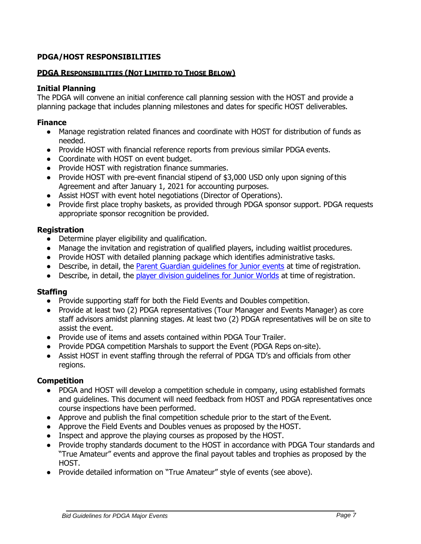# **PDGA/HOST RESPONSIBILITIES**

#### **PDGA RESPONSIBILITIES (NOT LIMITED TO THOSE BELOW)**

#### **Initial Planning**

The PDGA will convene an initial conference call planning session with the HOST and provide a planning package that includes planning milestones and dates for specific HOST deliverables.

#### **Finance**

- Manage registration related finances and coordinate with HOST for distribution of funds as needed.
- Provide HOST with financial reference reports from previous similar PDGA events.
- Coordinate with HOST on event budget.
- Provide HOST with registration finance summaries.
- Provide HOST with pre-event financial stipend of \$3,000 USD only upon signing of this Agreement and after January 1, 2021 for accounting purposes.
- Assist HOST with event hotel negotiations (Director of Operations).
- Provide first place trophy baskets, as provided through PDGA sponsor support. PDGA requests appropriate sponsor recognition be provided.

#### **Registration**

- Determine player eligibility and qualification.
- Manage the invitation and registration of qualified players, including waitlist procedures.
- Provide HOST with detailed planning package which identifies administrative tasks.
- Describe, in detail, the [Parent Guardian guidelines for Junior events](https://www.pdga.com/rules/competition-manual/113) at time of registration.
- Describe, in detail, the [player division guidelines for Junior Worlds](https://www.pdga.com/pdga-documents/pdga-major-events/minimum-age-limit-for-pdga-majors) at time of registration.

#### **Staffing**

- Provide supporting staff for both the Field Events and Doubles competition.
- Provide at least two (2) PDGA representatives (Tour Manager and Events Manager) as core staff advisors amidst planning stages. At least two (2) PDGA representatives will be on site to assist the event.
- Provide use of items and assets contained within PDGA Tour Trailer.
- Provide PDGA competition Marshals to support the Event (PDGA Reps on-site).
- Assist HOST in event staffing through the referral of PDGA TD's and officials from other regions.

#### **Competition**

- PDGA and HOST will develop a competition schedule in company, using established formats and guidelines. This document will need feedback from HOST and PDGA representatives once course inspections have been performed.
- Approve and publish the final competition schedule prior to the start of the Event.
- Approve the Field Events and Doubles venues as proposed by the HOST.
- Inspect and approve the playing courses as proposed by the HOST.
- Provide trophy standards document to the HOST in accordance with PDGA Tour standards and "True Amateur" events and approve the final payout tables and trophies as proposed by the HOST.
- Provide detailed information on "True Amateur" style of events (see above).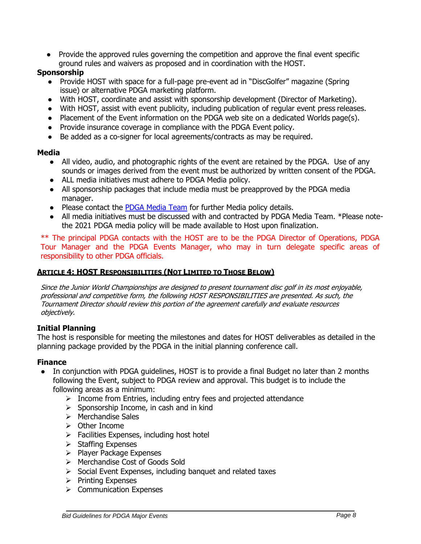● Provide the approved rules governing the competition and approve the final event specific ground rules and waivers as proposed and in coordination with the HOST.

# **Sponsorship**

- Provide HOST with space for a full-page pre-event ad in "DiscGolfer" magazine (Spring issue) or alternative PDGA marketing platform.
- With HOST, coordinate and assist with sponsorship development (Director of Marketing).
- With HOST, assist with event publicity, including publication of regular event press releases.
- Placement of the Event information on the PDGA web site on a dedicated Worlds page(s).
- Provide insurance coverage in compliance with the PDGA Event policy.
- Be added as a co-signer for local agreements/contracts as may be required.

# **Media**

- All video, audio, and photographic rights of the event are retained by the PDGA. Use of any sounds or images derived from the event must be authorized by written consent of the PDGA.
- ALL media initiatives must adhere to PDGA Media policy.
- All sponsorship packages that include media must be preapproved by the PDGA media manager.
- Please contact the **[PDGA Media Team](mailto:media@pdga.com)** for further Media policy details.
- All media initiatives must be discussed with and contracted by PDGA Media Team. \*Please notethe 2021 PDGA media policy will be made available to Host upon finalization.

\*\* The principal PDGA contacts with the HOST are to be the PDGA Director of Operations, PDGA Tour Manager and the PDGA Events Manager, who may in turn delegate specific areas of responsibility to other PDGA officials.

# **ARTICLE 4: HOST RESPONSIBILITIES (NOT LIMITED TO THOSE BELOW)**

Since the Junior World Championships are designed to present tournament disc golf in its most enjoyable, professional and competitive form, the following HOST RESPONSIBILITIES are presented. As such, the Tournament Director should review this portion of the agreement carefully and evaluate resources objectively.

# **Initial Planning**

The host is responsible for meeting the milestones and dates for HOST deliverables as detailed in the planning package provided by the PDGA in the initial planning conference call.

# **Finance**

- In conjunction with PDGA guidelines, HOST is to provide a final Budget no later than 2 months following the Event, subject to PDGA review and approval. This budget is to include the following areas as a minimum:
	- $\triangleright$  Income from Entries, including entry fees and projected attendance
	- $\triangleright$  Sponsorship Income, in cash and in kind
	- ➢ Merchandise Sales
	- ➢ Other Income
	- $\triangleright$  Facilities Expenses, including host hotel
	- ➢ Staffing Expenses
	- ➢ Player Package Expenses
	- ➢ Merchandise Cost of Goods Sold
	- ➢ Social Event Expenses, including banquet and related taxes
	- ➢ Printing Expenses
	- ➢ Communication Expenses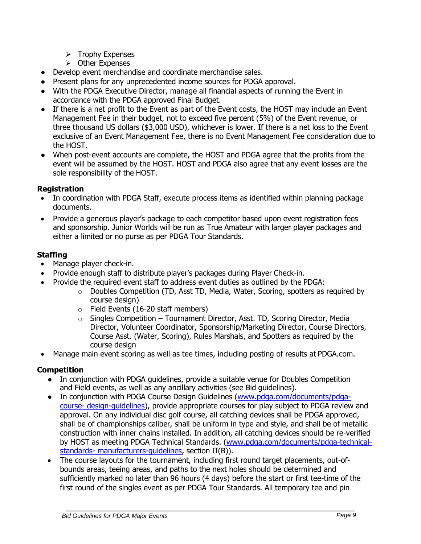- ➢ Trophy Expenses
- ➢ Other Expenses
- Develop event merchandise and coordinate merchandise sales.
- Present plans for any unprecedented income sources for PDGA approval.
- With the PDGA Executive Director, manage all financial aspects of running the Event in accordance with the PDGA approved Final Budget.
- If there is a net profit to the Event as part of the Event costs, the HOST may include an Event Management Fee in their budget, not to exceed five percent (5%) of the Event revenue, or three thousand US dollars (\$3,000 USD), whichever is lower. If there is a net loss to the Event exclusive of an Event Management Fee, there is no Event Management Fee consideration due to the HOST.
- When post-event accounts are complete, the HOST and PDGA agree that the profits from the event will be assumed by the HOST. HOST and PDGA also agree that any event losses are the sole responsibility of the HOST.

# **Registration**

- In coordination with PDGA Staff, execute process items as identified within planning package documents.
- Provide a generous player's package to each competitor based upon event registration fees and sponsorship. Junior Worlds will be run as True Amateur with larger player packages and either a limited or no purse as per PDGA Tour Standards.

# **Staffing**

- Manage player check-in.
- Provide enough staff to distribute player's packages during Player Check-in.
- Provide the required event staff to address event duties as outlined by the PDGA:
	- o Doubles Competition (TD, Asst TD, Media, Water, Scoring, spotters as required by course design)
	- o Field Events (16-20 staff members)
	- $\circ$  Singles Competition Tournament Director, Asst. TD, Scoring Director, Media Director, Volunteer Coordinator, Sponsorship/Marketing Director, Course Directors, Course Asst. (Water, Scoring), Rules Marshals, and Spotters as required by the course design
- Manage main event scoring as well as tee times, including posting of results at PDGA.com.

# **Competition**

- In conjunction with PDGA quidelines, provide a suitable venue for Doubles Competition and Field events, as well as any ancillary activities (see Bid guidelines).
- In conjunction with PDGA Course Design Guidelines [\(www.pdga.com/documents/pdga](http://www.pdga.com/documents/pdga-course-)[course-](http://www.pdga.com/documents/pdga-course-) design-guidelines), provide appropriate courses for play subject to PDGA review and approval. On any individual disc golf course, all catching devices shall be PDGA approved, shall be of championships caliber, shall be uniform in type and style, and shall be of metallic construction with inner chains installed. In addition, all catching devices should be re-verified by HOST as meeting PDGA Technical Standards. [\(www.pdga.com/documents/pdga-technical](http://www.pdga.com/documents/pdga-technical-standards-)[standards-](http://www.pdga.com/documents/pdga-technical-standards-) manufacturers-guidelines, section II(B)).
- The course layouts for the tournament, including first round target placements, out-ofbounds areas, teeing areas, and paths to the next holes should be determined and sufficiently marked no later than 96 hours (4 days) before the start or first tee-time of the first round of the singles event as per PDGA Tour Standards. All temporary tee and pin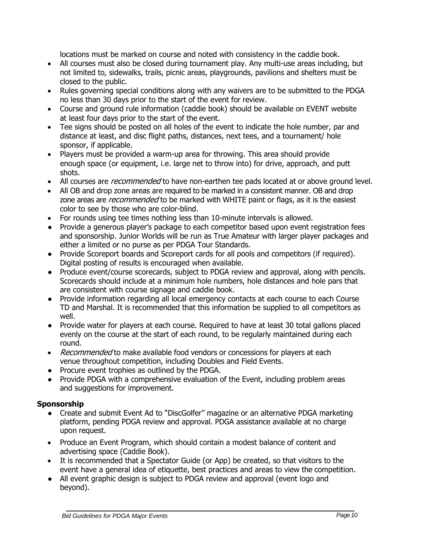locations must be marked on course and noted with consistency in the caddie book.

- All courses must also be closed during tournament play. Any multi-use areas including, but not limited to, sidewalks, trails, picnic areas, playgrounds, pavilions and shelters must be closed to the public.
- Rules governing special conditions along with any waivers are to be submitted to the PDGA no less than 30 days prior to the start of the event for review.
- Course and ground rule information (caddie book) should be available on EVENT website at least four days prior to the start of the event.
- Tee signs should be posted on all holes of the event to indicate the hole number, par and distance at least, and disc flight paths, distances, next tees, and a tournament/ hole sponsor, if applicable.
- Players must be provided a warm-up area for throwing. This area should provide enough space (or equipment, i.e. large net to throw into) for drive, approach, and putt shots.
- All courses are *recommended* to have non-earthen tee pads located at or above ground level.
- All OB and drop zone areas are required to be marked in a consistent manner. OB and drop zone areas are *recommended* to be marked with WHITE paint or flags, as it is the easiest color to see by those who are color-blind.
- For rounds using tee times nothing less than 10-minute intervals is allowed.
- Provide a generous player's package to each competitor based upon event registration fees and sponsorship. Junior Worlds will be run as True Amateur with larger player packages and either a limited or no purse as per PDGA Tour Standards.
- Provide Scoreport boards and Scoreport cards for all pools and competitors (if required). Digital posting of results is encouraged when available.
- Produce event/course scorecards, subject to PDGA review and approval, along with pencils. Scorecards should include at a minimum hole numbers, hole distances and hole pars that are consistent with course signage and caddie book.
- Provide information regarding all local emergency contacts at each course to each Course TD and Marshal. It is recommended that this information be supplied to all competitors as well.
- Provide water for players at each course. Required to have at least 30 total gallons placed evenly on the course at the start of each round, to be regularly maintained during each round.
- Recommended to make available food vendors or concessions for players at each venue throughout competition, including Doubles and Field Events.
- Procure event trophies as outlined by the PDGA.
- Provide PDGA with a comprehensive evaluation of the Event, including problem areas and suggestions for improvement.

# **Sponsorship**

- Create and submit Event Ad to "DiscGolfer" magazine or an alternative PDGA marketing platform, pending PDGA review and approval. PDGA assistance available at no charge upon request.
- Produce an Event Program, which should contain a modest balance of content and advertising space (Caddie Book).
- It is recommended that a Spectator Guide (or App) be created, so that visitors to the event have a general idea of etiquette, best practices and areas to view the competition.
- All event graphic design is subject to PDGA review and approval (event logo and beyond).